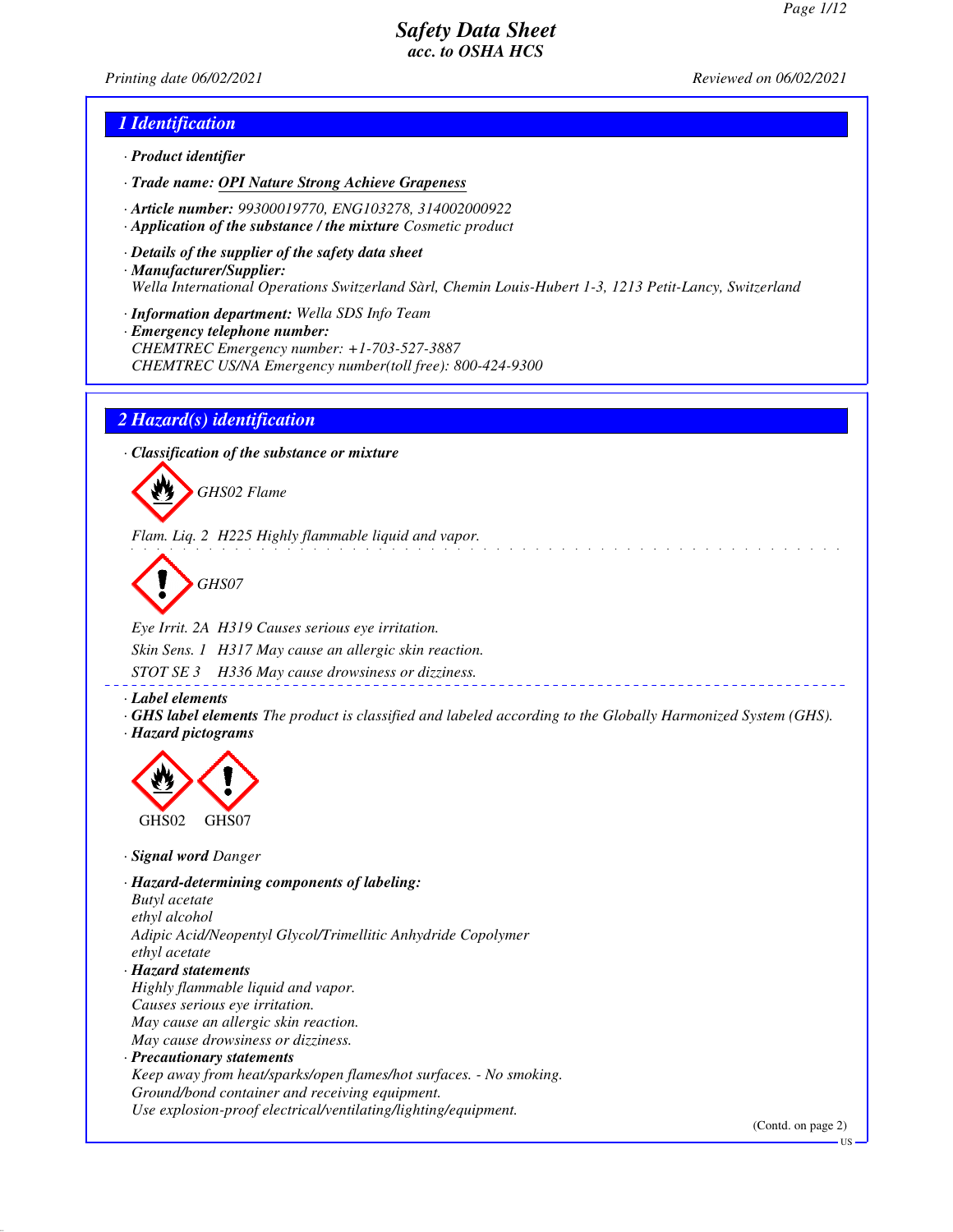*Printing date 06/02/2021 Reviewed on 06/02/2021*

## *1 Identification*

- *· Product identifier*
- *· Trade name: OPI Nature Strong Achieve Grapeness*
- *· Article number: 99300019770, ENG103278, 314002000922*
- *· Application of the substance / the mixture Cosmetic product*
- *· Details of the supplier of the safety data sheet · Manufacturer/Supplier: Wella International Operations Switzerland Sàrl, Chemin Louis-Hubert 1-3, 1213 Petit-Lancy, Switzerland*
- *· Information department: Wella SDS Info Team*
- *· Emergency telephone number: CHEMTREC Emergency number: +1-703-527-3887 CHEMTREC US/NA Emergency number(toll free): 800-424-9300*

## *2 Hazard(s) identification*

*· Classification of the substance or mixture*



*Flam. Liq. 2 H225 Highly flammable liquid and vapor.*

*GHS07*

*Eye Irrit. 2A H319 Causes serious eye irritation. Skin Sens. 1 H317 May cause an allergic skin reaction. STOT SE 3 H336 May cause drowsiness or dizziness.*

*· Label elements*

*· GHS label elements The product is classified and labeled according to the Globally Harmonized System (GHS). · Hazard pictograms*



*· Signal word Danger*

*· Hazard-determining components of labeling: Butyl acetate ethyl alcohol Adipic Acid/Neopentyl Glycol/Trimellitic Anhydride Copolymer ethyl acetate · Hazard statements Highly flammable liquid and vapor. Causes serious eye irritation. May cause an allergic skin reaction. May cause drowsiness or dizziness. · Precautionary statements*

*Keep away from heat/sparks/open flames/hot surfaces. - No smoking. Ground/bond container and receiving equipment. Use explosion-proof electrical/ventilating/lighting/equipment.*

(Contd. on page 2)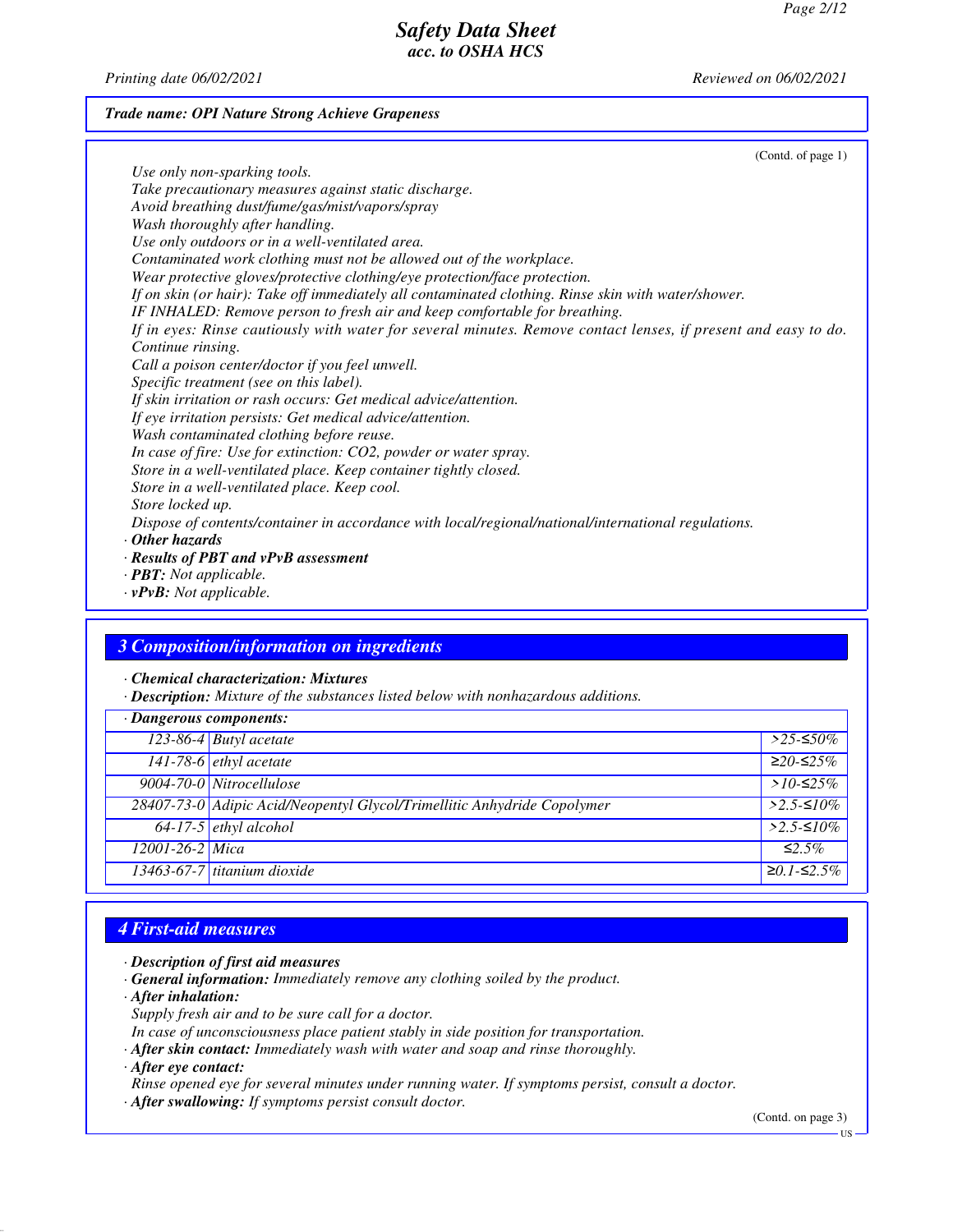*Printing date 06/02/2021 Reviewed on 06/02/2021*

#### *Trade name: OPI Nature Strong Achieve Grapeness*

(Contd. of page 1) *Use only non-sparking tools. Take precautionary measures against static discharge. Avoid breathing dust/fume/gas/mist/vapors/spray Wash thoroughly after handling. Use only outdoors or in a well-ventilated area. Contaminated work clothing must not be allowed out of the workplace. Wear protective gloves/protective clothing/eye protection/face protection. If on skin (or hair): Take off immediately all contaminated clothing. Rinse skin with water/shower. IF INHALED: Remove person to fresh air and keep comfortable for breathing. If in eyes: Rinse cautiously with water for several minutes. Remove contact lenses, if present and easy to do. Continue rinsing. Call a poison center/doctor if you feel unwell. Specific treatment (see on this label). If skin irritation or rash occurs: Get medical advice/attention. If eye irritation persists: Get medical advice/attention. Wash contaminated clothing before reuse. In case of fire: Use for extinction: CO2, powder or water spray. Store in a well-ventilated place. Keep container tightly closed. Store in a well-ventilated place. Keep cool. Store locked up. Dispose of contents/container in accordance with local/regional/national/international regulations. · Other hazards · Results of PBT and vPvB assessment · PBT: Not applicable.*

*· vPvB: Not applicable.*

### *3 Composition/information on ingredients*

*· Chemical characterization: Mixtures*

*· Description: Mixture of the substances listed below with nonhazardous additions.*

| · Dangerous components: |                                                                         |                  |  |
|-------------------------|-------------------------------------------------------------------------|------------------|--|
|                         | 123-86-4 Butyl acetate                                                  | $>$ 25-≤50%      |  |
|                         | 141-78-6 ethyl acetate                                                  | $≥20-≤25%$       |  |
|                         | 9004-70-0 Nitrocellulose                                                | $>10-525\%$      |  |
|                         | 28407-73-0 Adipic Acid/Neopentyl Glycol/Trimellitic Anhydride Copolymer | $>2.5$ -≤10%     |  |
|                         | $64-17-5$ ethyl alcohol                                                 | $>2.5$ -≤10%     |  |
| 12001-26-2 Mica         |                                                                         | $\leq 2.5\%$     |  |
|                         | $13463-67-7$ titanium dioxide                                           | $≥0.1$ - $≤2.5%$ |  |

## *4 First-aid measures*

*· Description of first aid measures*

- *· General information: Immediately remove any clothing soiled by the product.*
- *· After inhalation:*
	- *Supply fresh air and to be sure call for a doctor.*

*In case of unconsciousness place patient stably in side position for transportation.*

- *· After skin contact: Immediately wash with water and soap and rinse thoroughly.*
- *· After eye contact:*
- *Rinse opened eye for several minutes under running water. If symptoms persist, consult a doctor.*
- *· After swallowing: If symptoms persist consult doctor.*

(Contd. on page 3)

US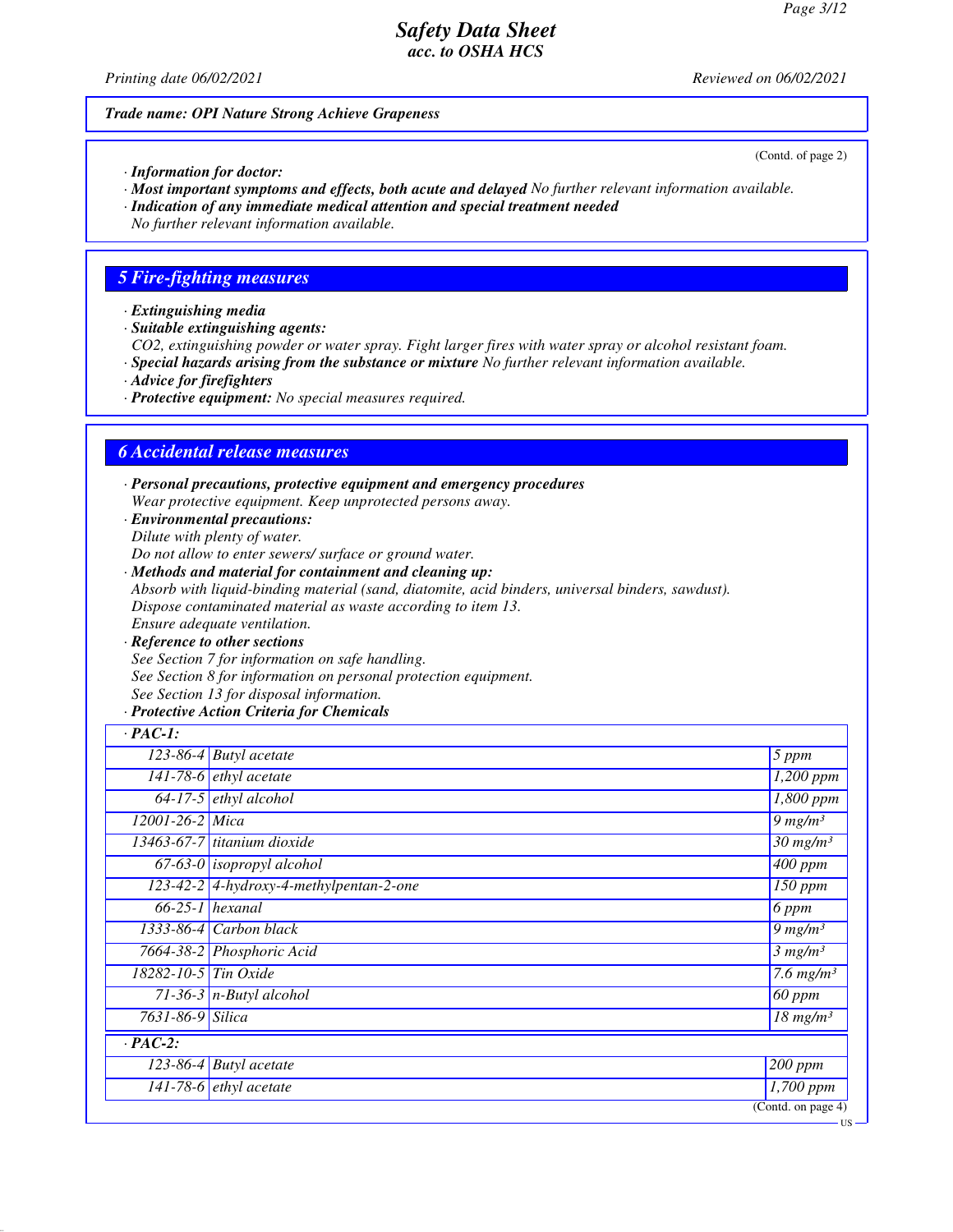*Printing date 06/02/2021 Reviewed on 06/02/2021*

#### *Trade name: OPI Nature Strong Achieve Grapeness*

*· Information for doctor:*

- *· Most important symptoms and effects, both acute and delayed No further relevant information available.*
- *· Indication of any immediate medical attention and special treatment needed*

*No further relevant information available.*

## *5 Fire-fighting measures*

- *· Extinguishing media*
- *· Suitable extinguishing agents:*

*CO2, extinguishing powder or water spray. Fight larger fires with water spray or alcohol resistant foam.*

- *· Special hazards arising from the substance or mixture No further relevant information available.*
- *· Advice for firefighters*
- *· Protective equipment: No special measures required.*

## *6 Accidental release measures*

*· Personal precautions, protective equipment and emergency procedures Wear protective equipment. Keep unprotected persons away.*

*· Environmental precautions: Dilute with plenty of water.*

*Do not allow to enter sewers/ surface or ground water.*

- *· Methods and material for containment and cleaning up: Absorb with liquid-binding material (sand, diatomite, acid binders, universal binders, sawdust). Dispose contaminated material as waste according to item 13. Ensure adequate ventilation.*
- *· Reference to other sections See Section 7 for information on safe handling. See Section 8 for information on personal protection equipment. See Section 13 for disposal information.*

#### *· Protective Action Criteria for Chemicals*

| $\cdot$ PAC-1:        |                                         |                                        |
|-----------------------|-----------------------------------------|----------------------------------------|
|                       | $\overline{123}$ -86-4 Butyl acetate    | $5$ ppm                                |
|                       | 141-78-6 <i>ethyl</i> acetate           | $\overline{1,200}$ ppm                 |
|                       | $64-17-5$ ethyl alcohol                 | 1,800 ppm                              |
| $12001 - 26 - 2$ Mica |                                         | $9$ mg/m <sup>3</sup>                  |
|                       | 13463-67-7 titanium dioxide             | $30$ mg/m <sup>3</sup>                 |
|                       | $\overline{67-63-0}$ isopropyl alcohol  | $\overline{400}$ ppm                   |
|                       | 123-42-2 4-hydroxy-4-methylpentan-2-one | $\overline{150}$ ppm                   |
| $66-25-1$ hexanal     |                                         | 6 ppm                                  |
|                       | 1333-86-4 Carbon black                  | $9 \ mg/m3$                            |
|                       | 7664-38-2 Phosphoric Acid               | 3 mg/m <sup>3</sup>                    |
| 18282-10-5 Tin Oxide  |                                         | $\overline{7.6}$ mg/m <sup>3</sup>     |
|                       | 71-36-3 $n$ -Butyl alcohol              | $60$ ppm                               |
| 7631-86-9 Silica      |                                         | $\overline{18}$ mg/m <sup>3</sup>      |
| $\cdot$ PAC-2:        |                                         |                                        |
|                       | $\overline{123-86-4}$ Butyl acetate     | $\sqrt{200}$ ppm                       |
|                       | $141-78-6$ ethyl acetate                | $1,700$ ppm                            |
|                       |                                         | $\overline{(\text{Contd. on page 4})}$ |

(Contd. of page 2)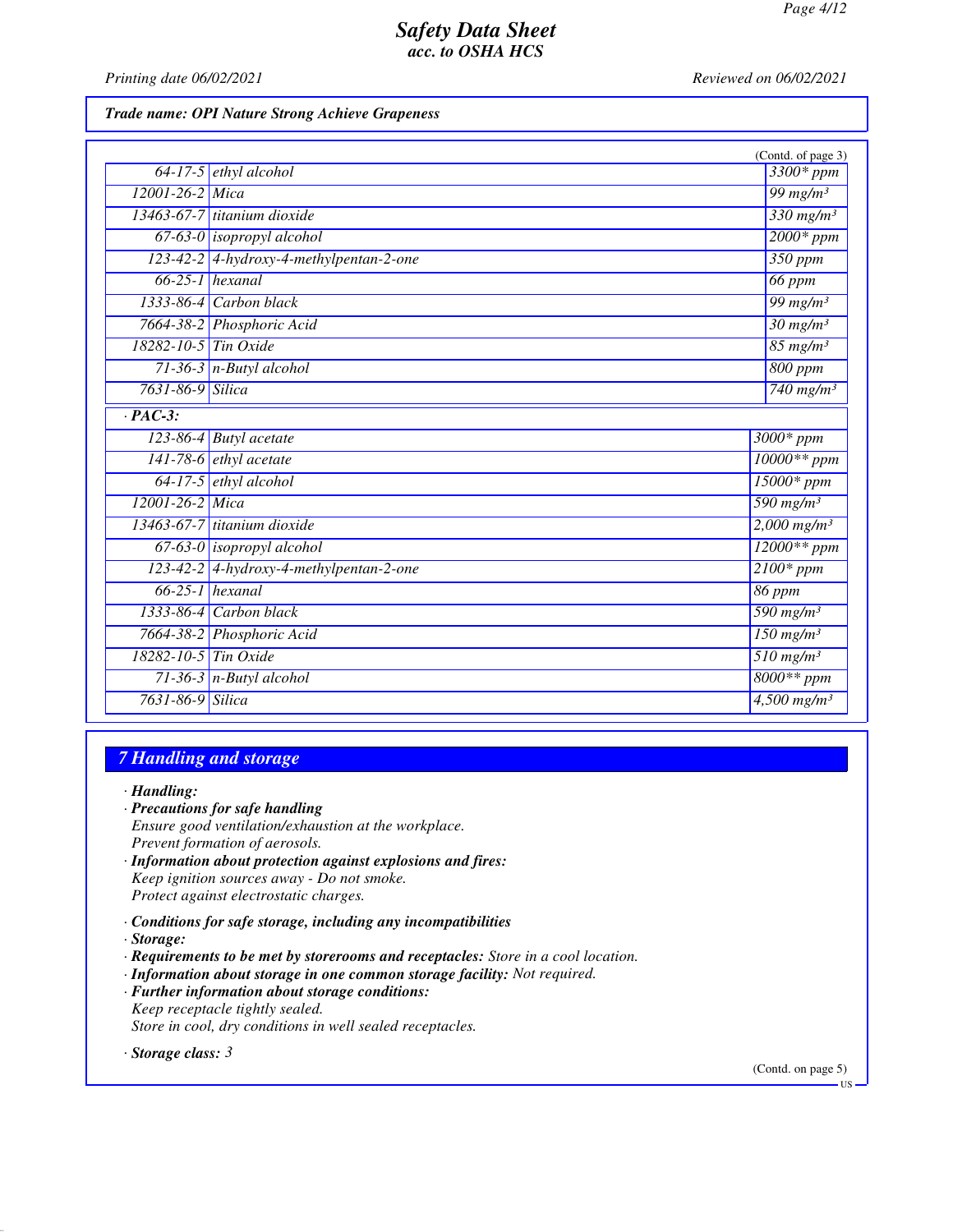*Printing date 06/02/2021 Reviewed on 06/02/2021*

#### *Trade name: OPI Nature Strong Achieve Grapeness*

|                      |                                         | (Contd. of page 3)                          |
|----------------------|-----------------------------------------|---------------------------------------------|
|                      | $64-17-5$ ethyl alcohol                 | 3300* ppm                                   |
| 12001-26-2 Mica      |                                         | 99 mg/m $3$                                 |
|                      | 13463-67-7 titanium dioxide             | $330$ mg/m <sup>3</sup>                     |
|                      | $67-63-0$ isopropyl alcohol             | $2000*ppm$                                  |
|                      | 123-42-2 4-hydroxy-4-methylpentan-2-one | $350$ ppm                                   |
|                      | $66-25-1$ hexanal                       | <b>66 ppm</b>                               |
|                      | 1333-86-4 Carbon black                  | $\frac{99}{mg/m^3}$                         |
|                      | 7664-38-2 Phosphoric Acid               | $30$ mg/m <sup>3</sup>                      |
| 18282-10-5 Tin Oxide |                                         | $85 \frac{\text{mg}}{\text{m}}$             |
|                      | $71-36-3$ n-Butyl alcohol               | 800 ppm                                     |
| 7631-86-9 Silica     |                                         | 740 mg/m <sup>3</sup>                       |
| $\overline{PAC-3}$ : |                                         |                                             |
|                      | $123-86-4$ Butyl acetate                | $3000*$ ppm                                 |
|                      | $141-78-6$ ethyl acetate                | $10000**$ ppm                               |
|                      | 64-17-5 ethyl alcohol                   | $15000*$ ppm                                |
| 12001-26-2 Mica      |                                         | 590 mg/m $3$                                |
|                      | 13463-67-7 titanium dioxide             | $2,000$ mg/m <sup>3</sup>                   |
|                      | $67-63-0$ isopropyl alcohol             | $12000**$ ppm                               |
|                      | 123-42-2 4-hydroxy-4-methylpentan-2-one | $2100*ppm$                                  |
|                      | $66-25-1$ hexanal                       | 86 ppm                                      |
|                      | 1333-86-4 Carbon black                  | $\overline{590}$ mg/m <sup>3</sup>          |
|                      | 7664-38-2 Phosphoric Acid               | $\overline{150 \text{ mg}}$ /m <sup>3</sup> |
| 18282-10-5 Tin Oxide |                                         | $510$ mg/m <sup>3</sup>                     |
|                      | $71-36-3$ n-Butyl alcohol               | $8000**ppm$                                 |
| 7631-86-9 Silica     |                                         | $4,500$ mg/m <sup>3</sup>                   |

### *7 Handling and storage*

*· Handling:*

- *· Precautions for safe handling*
- *Ensure good ventilation/exhaustion at the workplace. Prevent formation of aerosols.*
- *· Information about protection against explosions and fires: Keep ignition sources away - Do not smoke. Protect against electrostatic charges.*
- *· Conditions for safe storage, including any incompatibilities*

*· Storage:*

- *· Requirements to be met by storerooms and receptacles: Store in a cool location.*
- *· Information about storage in one common storage facility: Not required.*
- *· Further information about storage conditions: Keep receptacle tightly sealed. Store in cool, dry conditions in well sealed receptacles.*

*· Storage class: 3* 

(Contd. on page 5)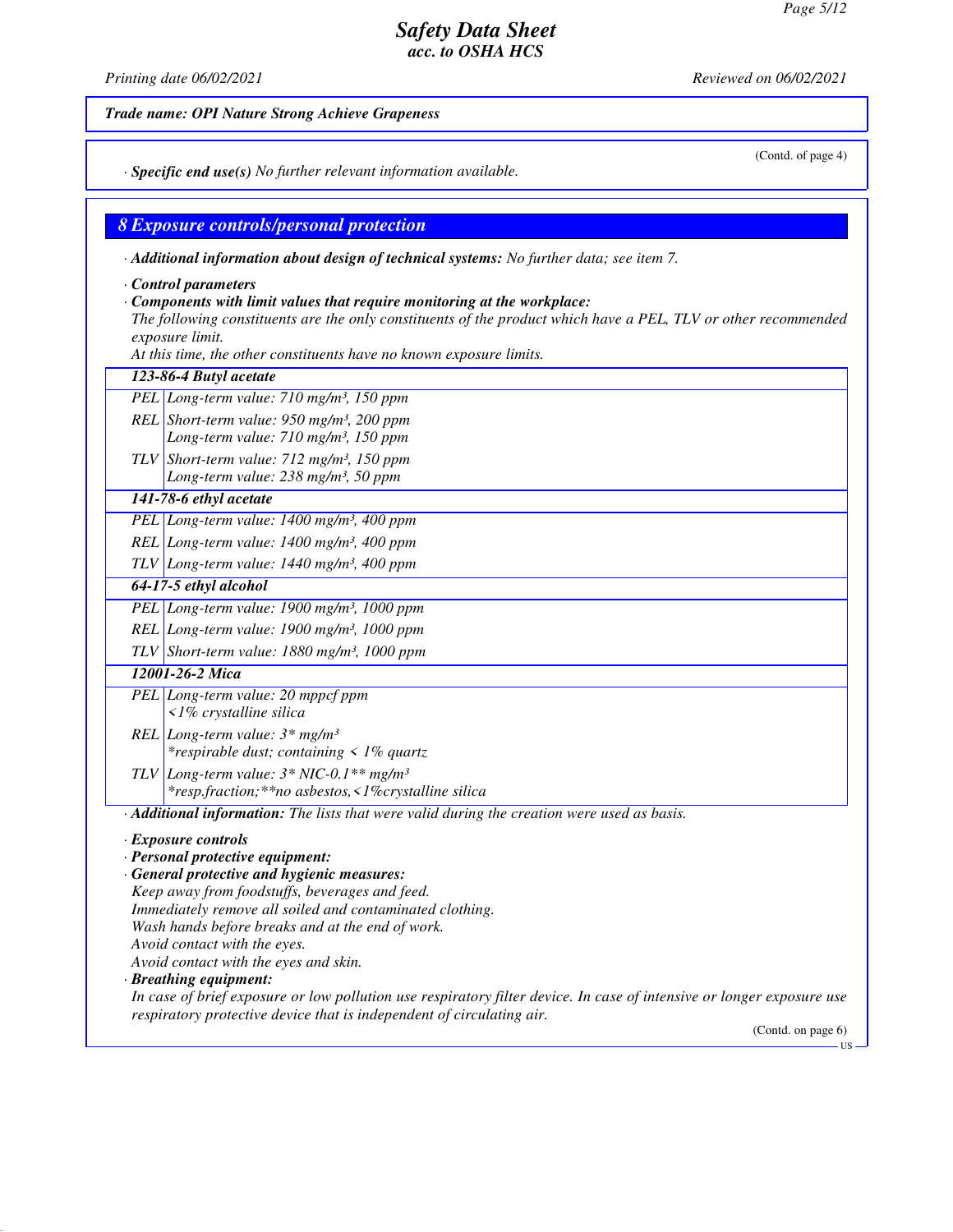*Printing date 06/02/2021 Reviewed on 06/02/2021*

*Trade name: OPI Nature Strong Achieve Grapeness*

(Contd. of page 4)

*· Specific end use(s) No further relevant information available.*

## *8 Exposure controls/personal protection*

*· Additional information about design of technical systems: No further data; see item 7.*

*· Control parameters*

#### *· Components with limit values that require monitoring at the workplace:*

*The following constituents are the only constituents of the product which have a PEL, TLV or other recommended exposure limit.*

*At this time, the other constituents have no known exposure limits.*

| PEL Long-term value: $710$ mg/m <sup>3</sup> , 150 ppm<br>REL Short-term value: $950$ mg/m <sup>3</sup> , 200 ppm<br>Long-term value: 710 mg/m <sup>3</sup> , 150 ppm<br>TLV Short-term value: $712 \text{ mg/m}^3$ , 150 ppm<br>Long-term value: 238 mg/m <sup>3</sup> , 50 ppm<br>141-78-6 ethyl acetate<br>PEL Long-term value: $1400$ mg/m <sup>3</sup> , 400 ppm<br>REL Long-term value: 1400 mg/m <sup>3</sup> , 400 ppm<br>$TLV$ Long-term value: 1440 mg/m <sup>3</sup> , 400 ppm<br>64-17-5 ethyl alcohol<br>PEL Long-term value: $1900$ mg/m <sup>3</sup> , $1000$ ppm<br>REL Long-term value: 1900 mg/m <sup>3</sup> , 1000 ppm<br>TLV Short-term value: $1880$ mg/m <sup>3</sup> , 1000 ppm<br>12001-26-2 Mica<br>PEL Long-term value: 20 mppcf ppm<br>$\langle$ 1% crystalline silica<br>REL Long-term value: $3*$ mg/m <sup>3</sup><br><i>*respirable dust; containing &lt; 1% quartz</i><br>TLV Long-term value: $3 * NIC-0.1**$ mg/m <sup>3</sup><br>*resp.fraction; ** no asbestos, <1% crystalline silica<br>· Additional information: The lists that were valid during the creation were used as basis.<br>· Exposure controls<br>· Personal protective equipment:<br>· General protective and hygienic measures: |  |  |  |
|--------------------------------------------------------------------------------------------------------------------------------------------------------------------------------------------------------------------------------------------------------------------------------------------------------------------------------------------------------------------------------------------------------------------------------------------------------------------------------------------------------------------------------------------------------------------------------------------------------------------------------------------------------------------------------------------------------------------------------------------------------------------------------------------------------------------------------------------------------------------------------------------------------------------------------------------------------------------------------------------------------------------------------------------------------------------------------------------------------------------------------------------------------------------------------------------------------------------------------------|--|--|--|
|                                                                                                                                                                                                                                                                                                                                                                                                                                                                                                                                                                                                                                                                                                                                                                                                                                                                                                                                                                                                                                                                                                                                                                                                                                      |  |  |  |
|                                                                                                                                                                                                                                                                                                                                                                                                                                                                                                                                                                                                                                                                                                                                                                                                                                                                                                                                                                                                                                                                                                                                                                                                                                      |  |  |  |
|                                                                                                                                                                                                                                                                                                                                                                                                                                                                                                                                                                                                                                                                                                                                                                                                                                                                                                                                                                                                                                                                                                                                                                                                                                      |  |  |  |
|                                                                                                                                                                                                                                                                                                                                                                                                                                                                                                                                                                                                                                                                                                                                                                                                                                                                                                                                                                                                                                                                                                                                                                                                                                      |  |  |  |
|                                                                                                                                                                                                                                                                                                                                                                                                                                                                                                                                                                                                                                                                                                                                                                                                                                                                                                                                                                                                                                                                                                                                                                                                                                      |  |  |  |
|                                                                                                                                                                                                                                                                                                                                                                                                                                                                                                                                                                                                                                                                                                                                                                                                                                                                                                                                                                                                                                                                                                                                                                                                                                      |  |  |  |
|                                                                                                                                                                                                                                                                                                                                                                                                                                                                                                                                                                                                                                                                                                                                                                                                                                                                                                                                                                                                                                                                                                                                                                                                                                      |  |  |  |
|                                                                                                                                                                                                                                                                                                                                                                                                                                                                                                                                                                                                                                                                                                                                                                                                                                                                                                                                                                                                                                                                                                                                                                                                                                      |  |  |  |
|                                                                                                                                                                                                                                                                                                                                                                                                                                                                                                                                                                                                                                                                                                                                                                                                                                                                                                                                                                                                                                                                                                                                                                                                                                      |  |  |  |
|                                                                                                                                                                                                                                                                                                                                                                                                                                                                                                                                                                                                                                                                                                                                                                                                                                                                                                                                                                                                                                                                                                                                                                                                                                      |  |  |  |
|                                                                                                                                                                                                                                                                                                                                                                                                                                                                                                                                                                                                                                                                                                                                                                                                                                                                                                                                                                                                                                                                                                                                                                                                                                      |  |  |  |
|                                                                                                                                                                                                                                                                                                                                                                                                                                                                                                                                                                                                                                                                                                                                                                                                                                                                                                                                                                                                                                                                                                                                                                                                                                      |  |  |  |
|                                                                                                                                                                                                                                                                                                                                                                                                                                                                                                                                                                                                                                                                                                                                                                                                                                                                                                                                                                                                                                                                                                                                                                                                                                      |  |  |  |
|                                                                                                                                                                                                                                                                                                                                                                                                                                                                                                                                                                                                                                                                                                                                                                                                                                                                                                                                                                                                                                                                                                                                                                                                                                      |  |  |  |
|                                                                                                                                                                                                                                                                                                                                                                                                                                                                                                                                                                                                                                                                                                                                                                                                                                                                                                                                                                                                                                                                                                                                                                                                                                      |  |  |  |
|                                                                                                                                                                                                                                                                                                                                                                                                                                                                                                                                                                                                                                                                                                                                                                                                                                                                                                                                                                                                                                                                                                                                                                                                                                      |  |  |  |
|                                                                                                                                                                                                                                                                                                                                                                                                                                                                                                                                                                                                                                                                                                                                                                                                                                                                                                                                                                                                                                                                                                                                                                                                                                      |  |  |  |
|                                                                                                                                                                                                                                                                                                                                                                                                                                                                                                                                                                                                                                                                                                                                                                                                                                                                                                                                                                                                                                                                                                                                                                                                                                      |  |  |  |
|                                                                                                                                                                                                                                                                                                                                                                                                                                                                                                                                                                                                                                                                                                                                                                                                                                                                                                                                                                                                                                                                                                                                                                                                                                      |  |  |  |
|                                                                                                                                                                                                                                                                                                                                                                                                                                                                                                                                                                                                                                                                                                                                                                                                                                                                                                                                                                                                                                                                                                                                                                                                                                      |  |  |  |
|                                                                                                                                                                                                                                                                                                                                                                                                                                                                                                                                                                                                                                                                                                                                                                                                                                                                                                                                                                                                                                                                                                                                                                                                                                      |  |  |  |
|                                                                                                                                                                                                                                                                                                                                                                                                                                                                                                                                                                                                                                                                                                                                                                                                                                                                                                                                                                                                                                                                                                                                                                                                                                      |  |  |  |
|                                                                                                                                                                                                                                                                                                                                                                                                                                                                                                                                                                                                                                                                                                                                                                                                                                                                                                                                                                                                                                                                                                                                                                                                                                      |  |  |  |
|                                                                                                                                                                                                                                                                                                                                                                                                                                                                                                                                                                                                                                                                                                                                                                                                                                                                                                                                                                                                                                                                                                                                                                                                                                      |  |  |  |
| Keep away from foodstuffs, beverages and feed.                                                                                                                                                                                                                                                                                                                                                                                                                                                                                                                                                                                                                                                                                                                                                                                                                                                                                                                                                                                                                                                                                                                                                                                       |  |  |  |
| Immediately remove all soiled and contaminated clothing.                                                                                                                                                                                                                                                                                                                                                                                                                                                                                                                                                                                                                                                                                                                                                                                                                                                                                                                                                                                                                                                                                                                                                                             |  |  |  |
| Wash hands before breaks and at the end of work.<br>Avoid contact with the eyes.                                                                                                                                                                                                                                                                                                                                                                                                                                                                                                                                                                                                                                                                                                                                                                                                                                                                                                                                                                                                                                                                                                                                                     |  |  |  |
| Avoid contact with the eyes and skin.                                                                                                                                                                                                                                                                                                                                                                                                                                                                                                                                                                                                                                                                                                                                                                                                                                                                                                                                                                                                                                                                                                                                                                                                |  |  |  |
| · Breathing equipment:                                                                                                                                                                                                                                                                                                                                                                                                                                                                                                                                                                                                                                                                                                                                                                                                                                                                                                                                                                                                                                                                                                                                                                                                               |  |  |  |
| In case of brief exposure or low pollution use respiratory filter device. In case of intensive or longer exposure use                                                                                                                                                                                                                                                                                                                                                                                                                                                                                                                                                                                                                                                                                                                                                                                                                                                                                                                                                                                                                                                                                                                |  |  |  |
| respiratory protective device that is independent of circulating air.                                                                                                                                                                                                                                                                                                                                                                                                                                                                                                                                                                                                                                                                                                                                                                                                                                                                                                                                                                                                                                                                                                                                                                |  |  |  |
| (Contd. on page $6$ )<br>US.                                                                                                                                                                                                                                                                                                                                                                                                                                                                                                                                                                                                                                                                                                                                                                                                                                                                                                                                                                                                                                                                                                                                                                                                         |  |  |  |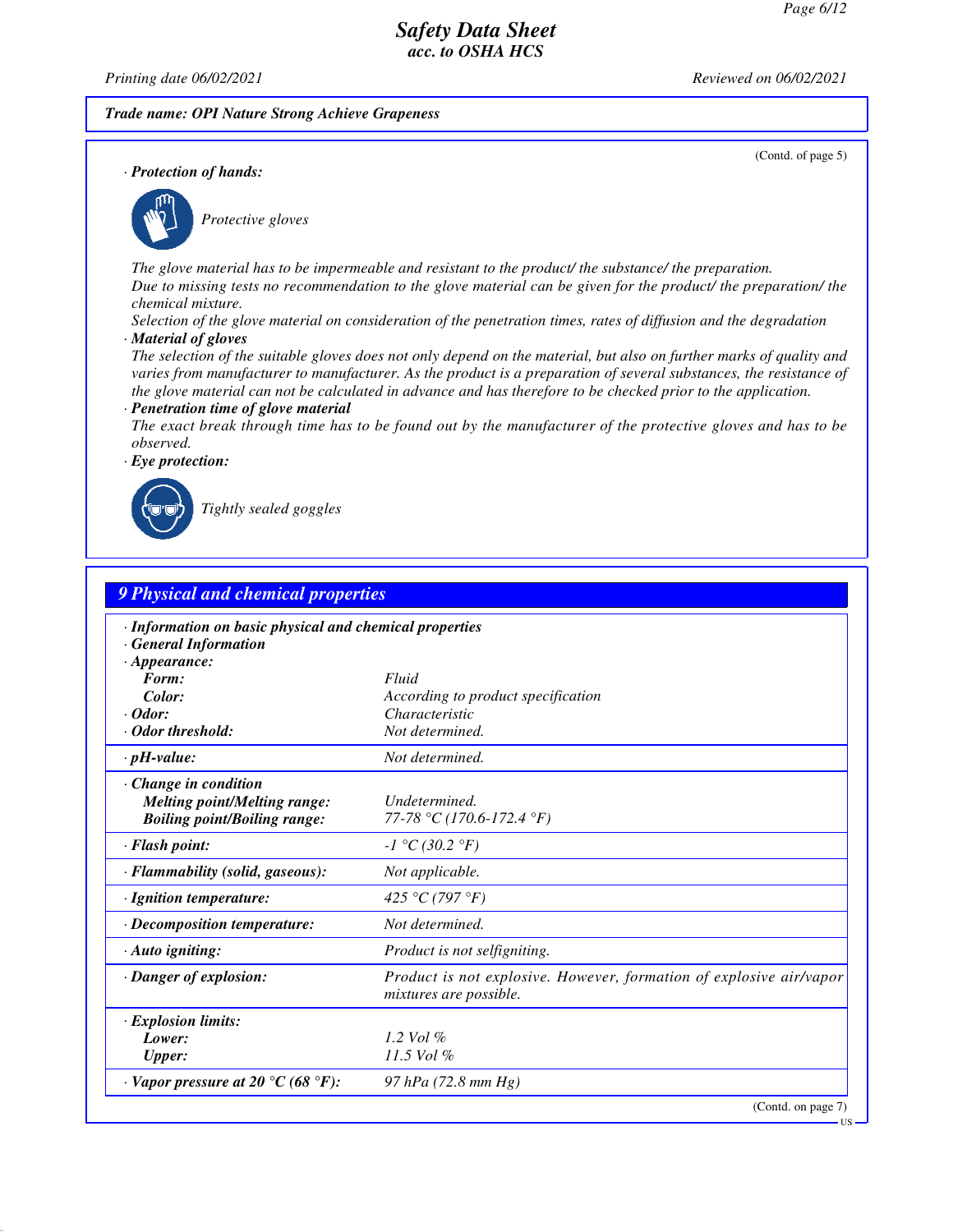*Printing date 06/02/2021 Reviewed on 06/02/2021*

*Trade name: OPI Nature Strong Achieve Grapeness*

(Contd. of page 5)

*· Protection of hands:*



*Protective gloves*

*The glove material has to be impermeable and resistant to the product/ the substance/ the preparation. Due to missing tests no recommendation to the glove material can be given for the product/ the preparation/ the chemical mixture.*

*Selection of the glove material on consideration of the penetration times, rates of diffusion and the degradation · Material of gloves*

*The selection of the suitable gloves does not only depend on the material, but also on further marks of quality and varies from manufacturer to manufacturer. As the product is a preparation of several substances, the resistance of the glove material can not be calculated in advance and has therefore to be checked prior to the application.*

#### *· Penetration time of glove material*

*The exact break through time has to be found out by the manufacturer of the protective gloves and has to be observed.*

*· Eye protection:*



*Tightly sealed goggles*

| 9 Physical and chemical properties                                                                  |                                                                                               |  |  |
|-----------------------------------------------------------------------------------------------------|-----------------------------------------------------------------------------------------------|--|--|
| · Information on basic physical and chemical properties<br><b>General Information</b>               |                                                                                               |  |  |
| $\cdot$ Appearance:<br>Form:                                                                        |                                                                                               |  |  |
| Color:                                                                                              | Fluid<br>According to product specification                                                   |  |  |
| $\cdot$ Odor:                                                                                       | Characteristic                                                                                |  |  |
| · Odor threshold:                                                                                   | Not determined.                                                                               |  |  |
| $\cdot$ pH-value:                                                                                   | Not determined.                                                                               |  |  |
| · Change in condition<br><b>Melting point/Melting range:</b><br><b>Boiling point/Boiling range:</b> | Undetermined.<br>77-78 °C (170.6-172.4 °F)                                                    |  |  |
| · Flash point:                                                                                      | $-I °C (30.2 °F)$                                                                             |  |  |
| · Flammability (solid, gaseous):                                                                    | Not applicable.                                                                               |  |  |
| · Ignition temperature:                                                                             | 425 °C (797 °F)                                                                               |  |  |
| · Decomposition temperature:                                                                        | Not determined.                                                                               |  |  |
| $\cdot$ Auto igniting:                                                                              | Product is not selfigniting.                                                                  |  |  |
| · Danger of explosion:                                                                              | Product is not explosive. However, formation of explosive air/vapor<br>mixtures are possible. |  |  |
| $\cdot$ Explosion limits:                                                                           |                                                                                               |  |  |
| Lower:                                                                                              | 1.2 Vol $\%$                                                                                  |  |  |
| <b>Upper:</b>                                                                                       | 11.5 Vol %                                                                                    |  |  |
| $\cdot$ Vapor pressure at 20 °C (68 °F):                                                            | 97 hPa (72.8 mm Hg)                                                                           |  |  |
|                                                                                                     | (Contd. on page 7)                                                                            |  |  |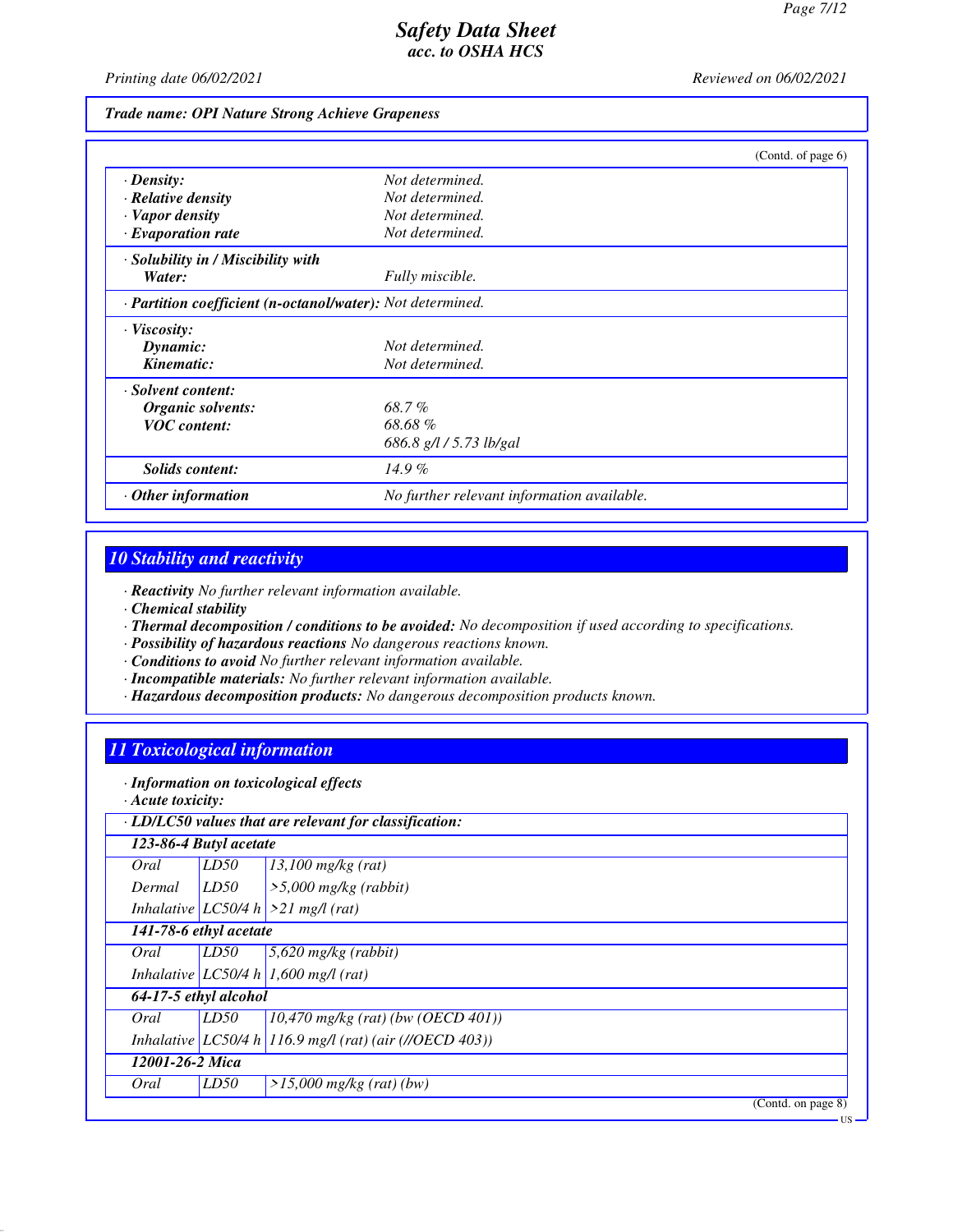*Printing date 06/02/2021 Reviewed on 06/02/2021*

#### *Trade name: OPI Nature Strong Achieve Grapeness*

|                                                            |                                            | (Contd. of page 6) |
|------------------------------------------------------------|--------------------------------------------|--------------------|
| $\cdot$ Density:                                           | Not determined.                            |                    |
| $\cdot$ Relative density                                   | Not determined.                            |                    |
| · Vapor density                                            | Not determined.                            |                    |
| $\cdot$ Evaporation rate                                   | Not determined.                            |                    |
| · Solubility in / Miscibility with                         |                                            |                    |
| Water:                                                     | Fully miscible.                            |                    |
| · Partition coefficient (n-octanol/water): Not determined. |                                            |                    |
| $\cdot$ Viscosity:                                         |                                            |                    |
| Dynamic:                                                   | Not determined.                            |                    |
| Kinematic:                                                 | Not determined.                            |                    |
| · Solvent content:                                         |                                            |                    |
| Organic solvents:                                          | 68.7%                                      |                    |
| <b>VOC</b> content:                                        | 68.68%                                     |                    |
|                                                            | 686.8 g/l / 5.73 lb/gal                    |                    |
| <b>Solids content:</b>                                     | $14.9\%$                                   |                    |
| $\cdot$ Other information                                  | No further relevant information available. |                    |

# *10 Stability and reactivity*

*· Reactivity No further relevant information available.*

- *· Chemical stability*
- *· Thermal decomposition / conditions to be avoided: No decomposition if used according to specifications.*
- *· Possibility of hazardous reactions No dangerous reactions known.*
- *· Conditions to avoid No further relevant information available.*
- *· Incompatible materials: No further relevant information available.*
- *· Hazardous decomposition products: No dangerous decomposition products known.*

# *11 Toxicological information*

*· Information on toxicological effects*

*· Acute toxicity:*

| 123-86-4 Butyl acetate |      |                                                         |  |  |
|------------------------|------|---------------------------------------------------------|--|--|
| Oral                   | LD50 | $13,100$ mg/kg (rat)                                    |  |  |
| Dermal                 | LD50 | $\geq$ 5,000 mg/kg (rabbit)                             |  |  |
|                        |      | Inhalative LC50/4 h $>21$ mg/l (rat)                    |  |  |
| 141-78-6 ethyl acetate |      |                                                         |  |  |
| Oral                   | LD50 | $5,620$ mg/kg (rabbit)                                  |  |  |
|                        |      | Inhalative LC50/4 h 1,600 mg/l (rat)                    |  |  |
| 64-17-5 ethyl alcohol  |      |                                                         |  |  |
| Oral                   | LD50 | $(10,470 \text{ mg/kg} (rat) (bw (OECD 401)))$          |  |  |
|                        |      | Inhalative LC50/4 h 116.9 mg/l (rat) (air (//OECD 403)) |  |  |
| 12001-26-2 Mica        |      |                                                         |  |  |
| Oral                   | LD50 | $>15,000$ mg/kg (rat) (bw)                              |  |  |
|                        |      | (Contd. on page 8)                                      |  |  |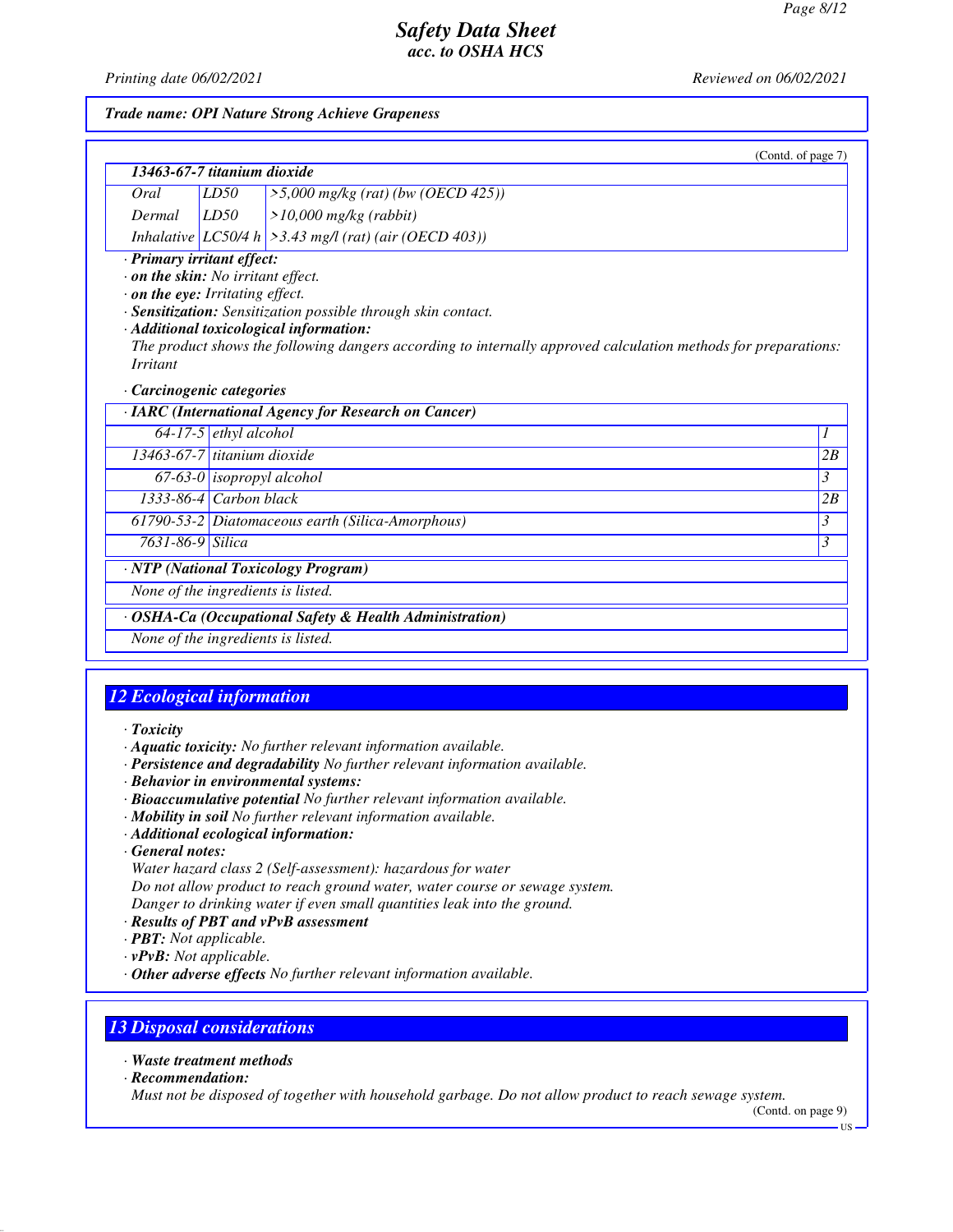*Printing date 06/02/2021 Reviewed on 06/02/2021*

#### *Trade name: OPI Nature Strong Achieve Grapeness*

|                 | 13463-67-7 titanium dioxide                                                                                      |                                                                                                                                                                                                                            | (Contd. of page 7) |
|-----------------|------------------------------------------------------------------------------------------------------------------|----------------------------------------------------------------------------------------------------------------------------------------------------------------------------------------------------------------------------|--------------------|
| Oral            | LD50                                                                                                             | $>5,000$ mg/kg (rat) (bw (OECD 425))                                                                                                                                                                                       |                    |
| Dermal          | LD50                                                                                                             | $>10,000$ mg/kg (rabbit)                                                                                                                                                                                                   |                    |
|                 |                                                                                                                  | Inhalative LC50/4 h $\geq$ 3.43 mg/l (rat) (air (OECD 403))                                                                                                                                                                |                    |
| <b>Irritant</b> | · Primary irritant effect:<br>$\cdot$ on the skin: No irritant effect.<br>$\cdot$ on the eye: Irritating effect. | · Sensitization: Sensitization possible through skin contact.<br>· Additional toxicological information:<br>The product shows the following dangers according to internally approved calculation methods for preparations: |                    |
|                 | · Carcinogenic categories                                                                                        | · IARC (International Agency for Research on Cancer)                                                                                                                                                                       |                    |
|                 | $64-17-5$ ethyl alcohol                                                                                          |                                                                                                                                                                                                                            | 1                  |
|                 | $13463-67-7$ titanium dioxide                                                                                    |                                                                                                                                                                                                                            | 2B                 |
|                 | $67-63-0$ isopropyl alcohol                                                                                      |                                                                                                                                                                                                                            | 3                  |
|                 | 1333-86-4 Carbon black                                                                                           |                                                                                                                                                                                                                            | 2B                 |
|                 |                                                                                                                  | 61790-53-2 Diatomaceous earth (Silica-Amorphous)                                                                                                                                                                           | 3                  |
|                 | 7631-86-9 Silica                                                                                                 |                                                                                                                                                                                                                            | 3                  |
|                 |                                                                                                                  | · NTP (National Toxicology Program)                                                                                                                                                                                        |                    |
|                 |                                                                                                                  | None of the ingredients is listed.                                                                                                                                                                                         |                    |
|                 |                                                                                                                  | · OSHA-Ca (Occupational Safety & Health Administration)                                                                                                                                                                    |                    |
|                 |                                                                                                                  | None of the ingredients is listed.                                                                                                                                                                                         |                    |

# *12 Ecological information*

#### *· Toxicity*

- *· Aquatic toxicity: No further relevant information available.*
- *· Persistence and degradability No further relevant information available.*
- *· Behavior in environmental systems:*
- *· Bioaccumulative potential No further relevant information available.*
- *· Mobility in soil No further relevant information available.*
- *· Additional ecological information:*
- *· General notes:*

*Water hazard class 2 (Self-assessment): hazardous for water Do not allow product to reach ground water, water course or sewage system. Danger to drinking water if even small quantities leak into the ground.*

- *· Results of PBT and vPvB assessment*
- *· PBT: Not applicable.*
- *· vPvB: Not applicable.*
- *· Other adverse effects No further relevant information available.*

## *13 Disposal considerations*

#### *· Waste treatment methods*

*· Recommendation:*

*Must not be disposed of together with household garbage. Do not allow product to reach sewage system.*

(Contd. on page 9)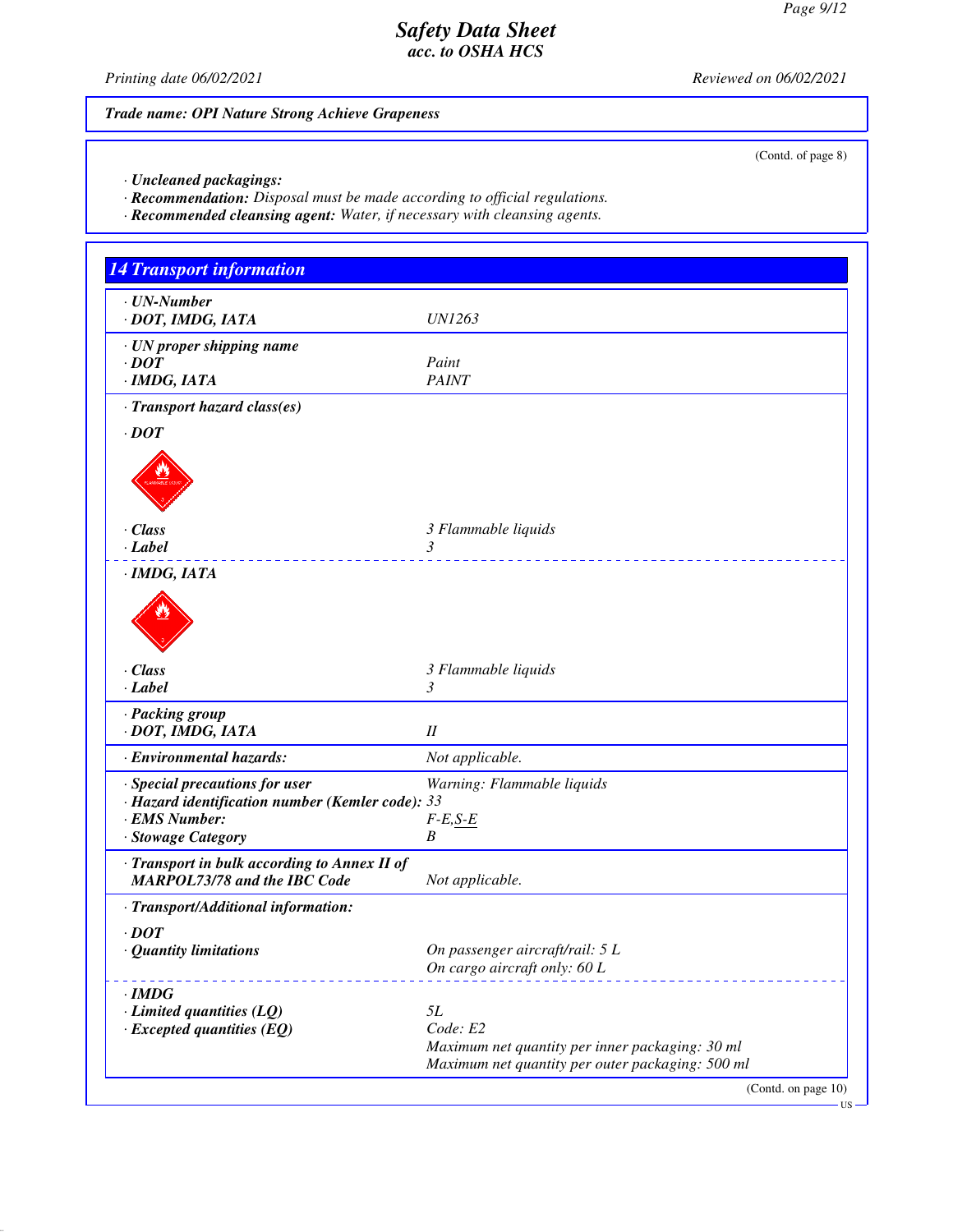(Contd. of page 8)

# *Safety Data Sheet acc. to OSHA HCS*

*Printing date 06/02/2021 Reviewed on 06/02/2021*

# *Trade name: OPI Nature Strong Achieve Grapeness*

*· Uncleaned packagings:*

*· Recommendation: Disposal must be made according to official regulations.*

*· Recommended cleansing agent: Water, if necessary with cleansing agents.*

| <b>14 Transport information</b>                                                                                           |                                                                                                                       |
|---------------------------------------------------------------------------------------------------------------------------|-----------------------------------------------------------------------------------------------------------------------|
| · UN-Number<br>· DOT, IMDG, IATA                                                                                          | <i>UN1263</i>                                                                                                         |
| · UN proper shipping name<br>$\cdot$ DOT<br>· IMDG, IATA                                                                  | Paint<br><b>PAINT</b>                                                                                                 |
| · Transport hazard class(es)<br>$\cdot$ DOT                                                                               |                                                                                                                       |
|                                                                                                                           |                                                                                                                       |
| · Class<br>· Label                                                                                                        | 3 Flammable liquids<br>3<br><u>.</u>                                                                                  |
| · IMDG, IATA                                                                                                              |                                                                                                                       |
|                                                                                                                           |                                                                                                                       |
| · Class<br>· Label                                                                                                        | 3 Flammable liquids<br>3                                                                                              |
| · Packing group<br>· DOT, IMDG, IATA                                                                                      | I                                                                                                                     |
| · Environmental hazards:                                                                                                  | Not applicable.                                                                                                       |
| · Special precautions for user<br>· Hazard identification number (Kemler code): 33<br>· EMS Number:<br>· Stowage Category | Warning: Flammable liquids<br>$F-E, S-E$<br>B                                                                         |
| · Transport in bulk according to Annex II of<br><b>MARPOL73/78 and the IBC Code</b>                                       | Not applicable.                                                                                                       |
| · Transport/Additional information:                                                                                       |                                                                                                                       |
| $\cdot$ <i>DOT</i><br><b>Quantity limitations</b>                                                                         | On passenger aircraft/rail: 5 L<br>On cargo aircraft only: 60 L                                                       |
| $\cdot$ IMDG<br>$\cdot$ Limited quantities (LQ)<br>$\cdot$ Excepted quantities (EQ)                                       | 5L<br>Code: E2<br>Maximum net quantity per inner packaging: 30 ml<br>Maximum net quantity per outer packaging: 500 ml |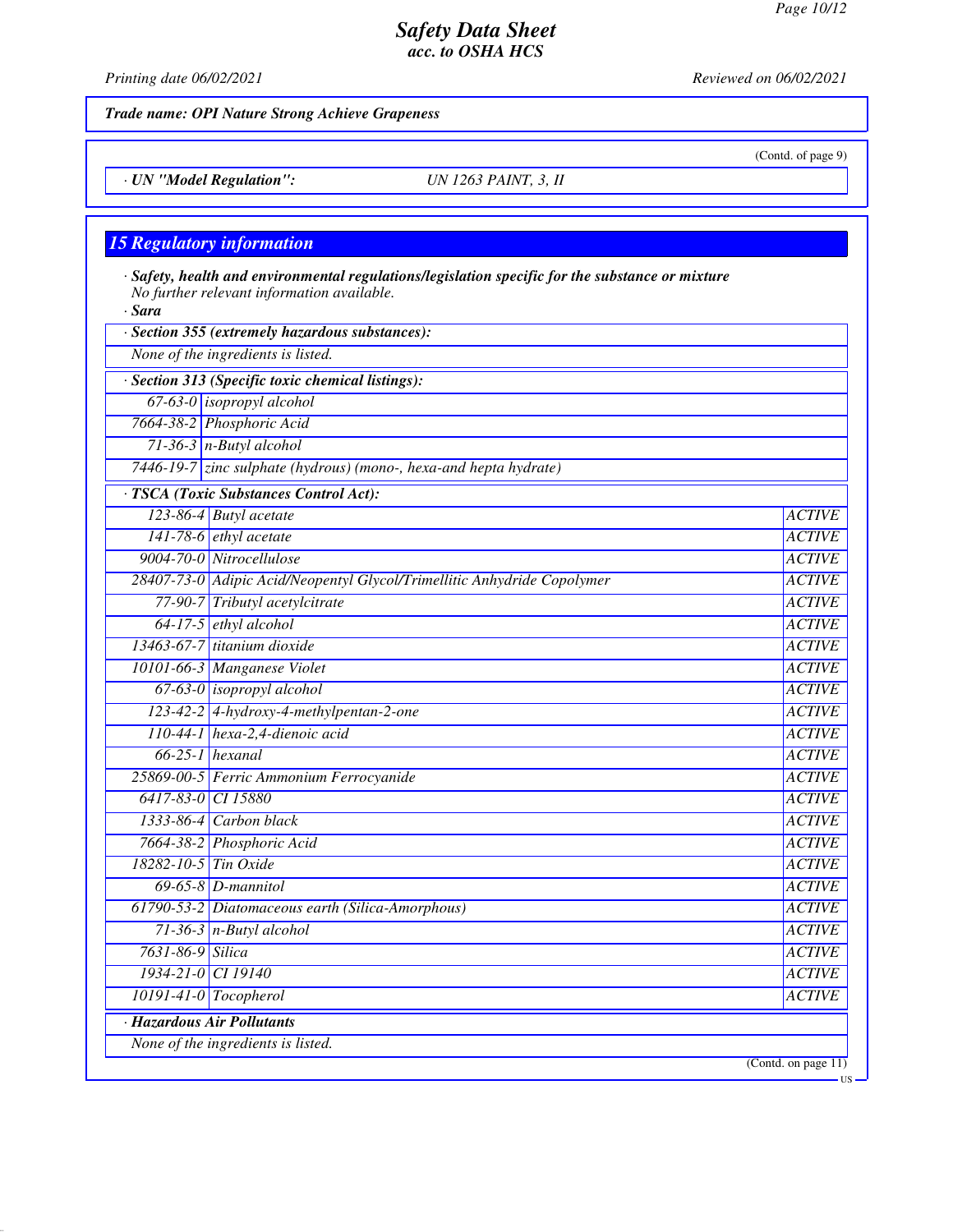*Trade name: OPI Nature Strong Achieve Grapeness*

*· UN "Model Regulation": UN 1263 PAINT, 3, II*

# *15 Regulatory information*

| · Sara               | · Safety, health and environmental regulations/legislation specific for the substance or mixture<br>No further relevant information available. |                               |
|----------------------|------------------------------------------------------------------------------------------------------------------------------------------------|-------------------------------|
|                      | · Section 355 (extremely hazardous substances):                                                                                                |                               |
|                      | None of the ingredients is listed.                                                                                                             |                               |
|                      | · Section 313 (Specific toxic chemical listings):                                                                                              |                               |
|                      | $67-63-0$ isopropyl alcohol                                                                                                                    |                               |
|                      | 7664-38-2 Phosphoric Acid                                                                                                                      |                               |
|                      | $71-36-3$ n-Butyl alcohol                                                                                                                      |                               |
|                      | 7446-19-7 zinc sulphate (hydrous) (mono-, hexa-and hepta hydrate)                                                                              |                               |
|                      | · TSCA (Toxic Substances Control Act):                                                                                                         |                               |
|                      | 123-86-4 Butyl acetate                                                                                                                         | <b>ACTIVE</b>                 |
|                      | $141-78-6$ ethyl acetate                                                                                                                       | <b>ACTIVE</b>                 |
|                      | 9004-70-0 Nitrocellulose                                                                                                                       | <b>ACTIVE</b>                 |
|                      | 28407-73-0 Adipic Acid/Neopentyl Glycol/Trimellitic Anhydride Copolymer                                                                        | <b>ACTIVE</b>                 |
|                      | 77-90-7 Tributyl acetylcitrate                                                                                                                 | <b>ACTIVE</b>                 |
|                      | $64-17-5$ ethyl alcohol                                                                                                                        | <b>ACTIVE</b>                 |
|                      | 13463-67-7 titanium dioxide                                                                                                                    | <b>ACTIVE</b>                 |
|                      | 10101-66-3 Manganese Violet                                                                                                                    | <b>ACTIVE</b>                 |
|                      | $67-63-0$ isopropyl alcohol                                                                                                                    | <b>ACTIVE</b>                 |
|                      | 123-42-2 4-hydroxy-4-methylpentan-2-one                                                                                                        | <b>ACTIVE</b>                 |
|                      | 110-44-1 hexa-2,4-dienoic acid                                                                                                                 | <b>ACTIVE</b>                 |
|                      | $66-25-1$ hexanal                                                                                                                              | <b>ACTIVE</b>                 |
|                      | 25869-00-5 Ferric Ammonium Ferrocyanide                                                                                                        | <b>ACTIVE</b>                 |
| 6417-83-0 CI 15880   |                                                                                                                                                | <b>ACTIVE</b>                 |
|                      | $1333-86-4$ Carbon black                                                                                                                       | <b>ACTIVE</b>                 |
|                      | 7664-38-2 Phosphoric Acid                                                                                                                      | <b>ACTIVE</b>                 |
| 18282-10-5 Tin Oxide |                                                                                                                                                | <b>ACTIVE</b>                 |
|                      | $69-65-8$ D-mannitol                                                                                                                           | <b>ACTIVE</b>                 |
|                      | 61790-53-2 Diatomaceous earth (Silica-Amorphous)                                                                                               | <b>ACTIVE</b>                 |
|                      | $71-36-3$ n-Butyl alcohol                                                                                                                      | <b>ACTIVE</b>                 |
| 7631-86-9 Silica     |                                                                                                                                                | <b>ACTIVE</b>                 |
| 1934-21-0 CI 19140   |                                                                                                                                                | <b>ACTIVE</b>                 |
|                      | $10191-41-0$ Tocopherol                                                                                                                        | <b>ACTIVE</b>                 |
|                      | · Hazardous Air Pollutants                                                                                                                     |                               |
|                      | None of the ingredients is listed.                                                                                                             |                               |
|                      |                                                                                                                                                | (Contd. on page $11$ )<br>-US |

*Printing date 06/02/2021 Reviewed on 06/02/2021*

(Contd. of page 9)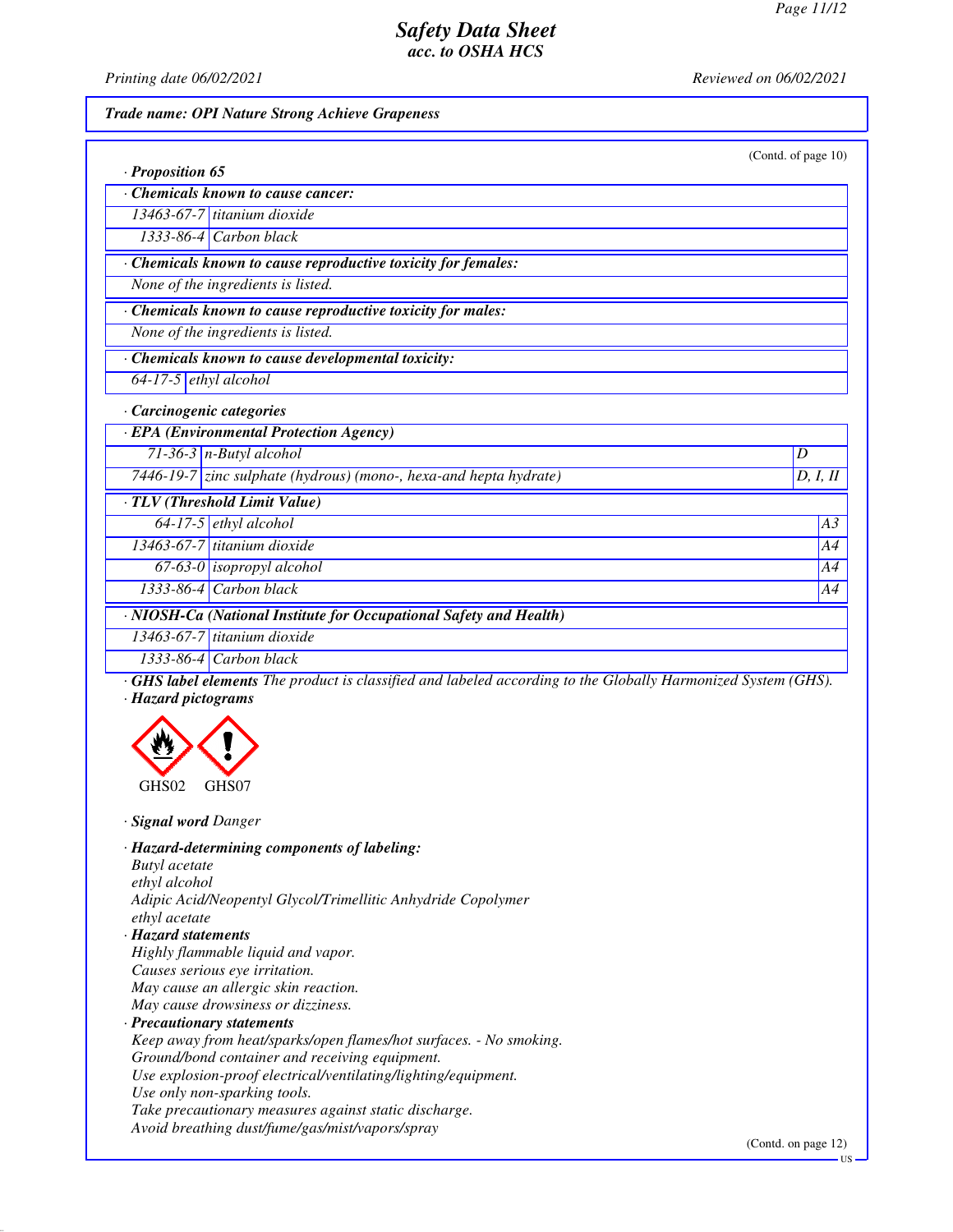*Printing date 06/02/2021 Reviewed on 06/02/2021*

*· Proposition 65*

#### *Trade name: OPI Nature Strong Achieve Grapeness*

| (Contd. of page 10) |  |
|---------------------|--|

| Chemicals known to cause cancer: |  |  |
|----------------------------------|--|--|
|                                  |  |  |

*13463-67-7 titanium dioxide 1333-86-4 Carbon black*

*· Chemicals known to cause reproductive toxicity for females:*

*None of the ingredients is listed.*

*· Chemicals known to cause reproductive toxicity for males:*

*None of the ingredients is listed.*

*· Chemicals known to cause developmental toxicity:*

*64-17-5 ethyl alcohol*

#### *· Carcinogenic categories*

*· EPA (Environmental Protection Agency) 71-36-3 n-Butyl alcohol D* 

*7446-19-7 zinc sulphate (hydrous) (mono-, hexa-and hepta hydrate) D, I, II*

| TLV (Threshold Limit Value)                                                                                                |                               |    |
|----------------------------------------------------------------------------------------------------------------------------|-------------------------------|----|
|                                                                                                                            | $64-17-5$ ethyl alcohol       | AA |
|                                                                                                                            | $13463-67-7$ titanium dioxide | AA |
|                                                                                                                            | $67-63-0$ isopropyl alcohol   | AA |
|                                                                                                                            | $1333-86-4$ Carbon black      | A4 |
| $\cdot$ NIOSH-Ca (National Institute for Occupational Safety and Health)                                                   |                               |    |
| $12462677$ $\frac{1}{2}$ $\frac{1}{2}$ $\frac{1}{2}$ $\frac{1}{2}$ $\frac{1}{2}$ $\frac{1}{2}$ $\frac{1}{2}$ $\frac{1}{2}$ |                               |    |

*13463-67-7 titanium dioxide 1333-86-4 Carbon black*

*· GHS label elements The product is classified and labeled according to the Globally Harmonized System (GHS). · Hazard pictograms*



*· Signal word Danger*

*· Hazard-determining components of labeling:*

*Butyl acetate*

*ethyl alcohol Adipic Acid/Neopentyl Glycol/Trimellitic Anhydride Copolymer ethyl acetate*

*· Hazard statements*

- *Highly flammable liquid and vapor.*
- *Causes serious eye irritation. May cause an allergic skin reaction.*

*May cause drowsiness or dizziness.*

#### *· Precautionary statements*

*Keep away from heat/sparks/open flames/hot surfaces. - No smoking.*

*Ground/bond container and receiving equipment.*

*Use explosion-proof electrical/ventilating/lighting/equipment.*

*Use only non-sparking tools.*

*Take precautionary measures against static discharge.*

*Avoid breathing dust/fume/gas/mist/vapors/spray*